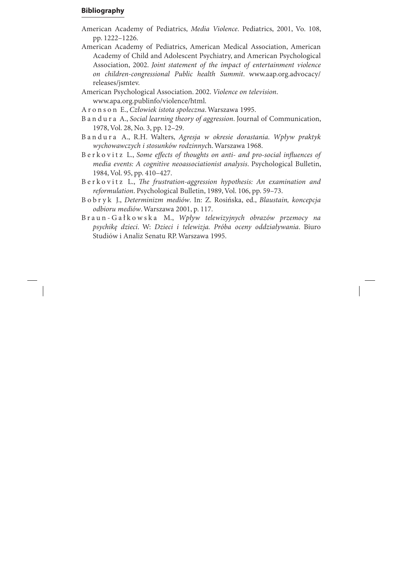## **Bibliography**

- American Academy of Pediatrics, *Media Violence*. Pediatrics, 2001, Vo. 108, pp. 1222–1226.
- American Academy of Pediatrics, American Medical Association, American Academy of Child and Adolescent Psychiatry, and American Psychological Association, 2002. *Joint statement of the impact of entertainment violence on children-congressional Public health Summit*. www.aap.org.advocacy/ releases/jsmtev.
- American Psychological Association. 2002. *Violence on television*. www.apa.org.publinfo/violence/html.
- A r o n s o n E., *Człowiek istota społeczna*. Warszawa 1995.
- B a n d u r a A., *Social learning theory of aggression*. Journal of Communication, 1978, Vol. 28, No. 3, pp. 12–29.
- B a n d u r a A., R.H. Walters, *Agresja w okresie dorastania. Wpływ praktyk wychowawczych i stosunków rodzinnyc*h. Warszawa 1968.
- B e r k o v i t z L., Some effects of thoughts on anti- and pro-social influences of *media events: A cognitive neoassociationist analysis*. Psychological Bulletin, 1984, Vol. 95, pp. 410–427.
- Berkovitz L., *The frustration-aggression hypothesis: An examination and reformulation*. Psychological Bulletin, 1989, Vol. 106, pp. 59–73.
- B o b r y k J., *Determinizm mediów*. In: Z. Rosińska, ed., *Blaustain, koncepcja odbioru mediów*. Warszawa 2001, p. 117.
- B r a u n G a ł k o w s k a M., *Wpływ telewizyjnych obrazów przemocy na psychikę dzieci*. W: *Dzieci i telewizja. Próba oceny oddziaływania*. Biuro Studiów i Analiz Senatu RP. Warszawa 1995.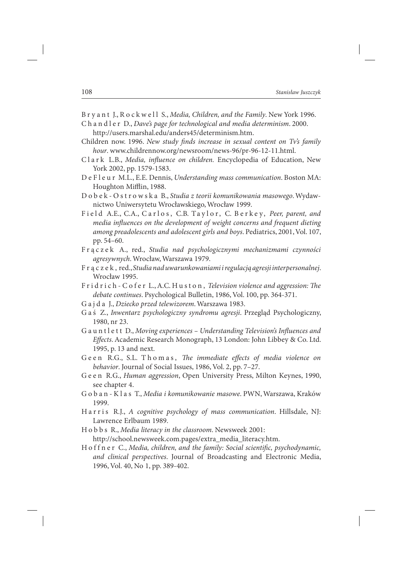B r y a n t J., R o c k w e l l S., *Media, Children, and the Family*. New York 1996.

C h a n d l e r D., *Dave's page for technological and media determinism*. 2000. http://users.marshal.edu/anders45/determinism.htm.

- Children now. 1996. *New study finds increase in sexual content on Tv's family hour*. www.childrennow.org/newsroom/news-96/pr-96-12-11.html.
- Clark L.B., *Media, influence on children*. Encyclopedia of Education, New York 2002, pp. 1579-1583.
- DeFleur M.L., E.E. Dennis, *Understanding mass communication*. Boston MA: Houghton Mifflin, 1988.
- D o b e k O s t r o w s k a B., *Studia z teorii komunikowania masowego*. Wydawnictwo Uniwersytetu Wrocławskiego, Wrocław 1999.
- Field A.E., C.A., Carlos, C.B. Taylor, C. Berkey, *Peer, parent, and media influences on the development of weight concerns and frequent dieting among preadolescents and adolescent girls and boys*. Pediatrics, 2001, Vol. 107, pp. 54–60.
- F r ą c z e k A., red., *Studia nad psychologicznymi mechanizmami czynności agresywnych*. Wrocław, Warszawa 1979.
- F r ą c z e k , red., *Studia nad uwarunkowaniami i regulacją agresji interpersonalnej*. Wrocław 1995.
- F r i d r i c h C o f e r L., A.C. H u s t o n, *Television violence and aggression*: The *debate continues*. Psychological Bulletin, 1986, Vol. 100, pp. 364-371.
- G a j d a J., *Dziecko przed telewizorem*. Warszawa 1983.
- G a ś Z., *Inwentarz psychologiczny syndromu agresji*. Przegląd Psychologiczny, 1980, nr 23.
- G a u n t l e t t D., *Moving experiences Understanding Television's Influences and* Effects. Academic Research Monograph, 13 London: John Libbey & Co. Ltd. 1995, p. 13 and next.
- Geen R.G., S.L. Thomas, The immediate effects of media violence on *behavior*. Journal of Social Issues, 1986, Vol. 2, pp. 7–27.
- G e e n R.G., *Human aggression*, Open University Press, Milton Keynes, 1990, see chapter 4.
- G o b a n K l a s T., *Media i komunikowanie masowe*. PWN, Warszawa, Kraków 1999.
- H a r r i s R.J., *A cognitive psychology of mass communication*. Hillsdale, NJ: Lawrence Erlbaum 1989.
- H o b b s R., *Media literacy in the classroom*. Newsweek 2001: http://school.newsweek.com.pages/extra\_media\_literacy.htm.
- H o f f n e r C., *Media, children, and the family: Social scientific, psychodynamic, and clinical perspectives*. Journal of Broadcasting and Electronic Media, 1996, Vol. 40, No 1, pp. 389-402.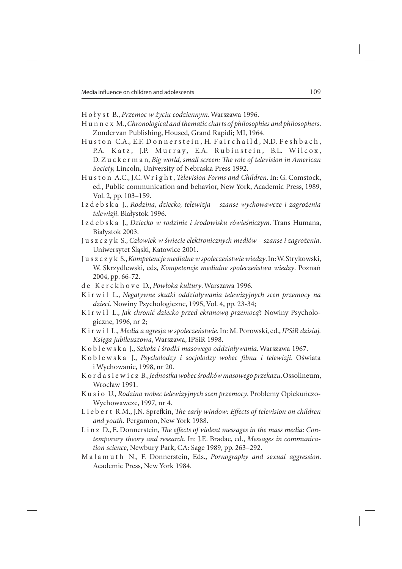H o ł y s t B., *Przemoc w życiu codziennym*. Warszawa 1996.

- H u n n e x M., *Chronological and thematic charts of philosophies and philosophers*. Zondervan Publishing, Housed, Grand Rapidi; MI, 1964.
- Huston C.A., E.F. Donnerstein, H. Fairchaild, N.D. Feshbach, P.A. Katz, J.P. Murray, E.A. Rubinstein, B.L. Wilcox, D. Z u c k e r m a n, *Big world, small screen: The role of television in American Society,* Lincoln, University of Nebraska Press 1992.
- H u s t o n A.C., J.C. Wr i g h t , *Television Forms and Children*. In: G. Comstock, ed., Public communication and behavior, New York, Academic Press, 1989, Vol. 2, pp. 103–159.
- I z d e b s k a J., *Rodzina, dziecko, telewizja szanse wychowawcze i zagrożenia telewizji*. Białystok 1996.
- I z d e b s k a J., *Dziecko w rodzinie i środowisku rówieśniczym*. Trans Humana, Białystok 2003.
- J u s z c z y k S., *Człowiek w świecie elektronicznych mediów szanse i zagrożenia*. Uniwersytet Śląski, Katowice 2001.
- J u s z c z y k S., *Kompetencje medialne w społeczeństwie wiedzy*. In: W. Strykowski, W. Skrzydlewski, eds, *Kompetencje medialne społeczeństwa wiedzy*. Poznań 2004, pp. 66-72.
- d e K e r c k h o v e D., *Powłoka kultury*. Warszawa 1996.
- K i r w i l L., *Negatywne skutki oddziaływania telewizyjnych scen przemocy na dzieci*. Nowiny Psychologiczne, 1995, Vol. 4, pp. 23-34;
- K i r w i l L., *Jak chronić dziecko przed ekranową przemocą*? Nowiny Psychologiczne, 1996, nr 2;
- K i r w i l L., *Media a agresja w społeczeństwie*. In: M. Porowski, ed., *IPSiR dzisiaj. Księga jubileuszowa*, Warszawa, IPSiR 1998.
- K o b l e w s k a J., *Szkoła i środki masowego oddziaływania*. Warszawa 1967.
- K o b l e w s k a J., *Psycholodzy i socjolodzy wobec filmu i telewizji*. Oświata i Wychowanie, 1998, nr 20.
- K o r d a s i e w i c z B., *Jednostka wobec środków masowego przekazu*. Ossolineum, Wrocław 1991.
- K u s i o U., *Rodzina wobec telewizyjnych scen przemocy*. Problemy Opiekuńczo-Wychowawcze, 1997, nr 4.
- Li e b e r t R.M., J.N. Sprefkin, *The early window: Effects of television on children and youth.* Pergamon, New York 1988.
- L i n z D., E. Donnerstein, *The effects of violent messages in the mass media: Contemporary theory and research*. In: J.E. Bradac, ed., *Messages in communication science*, Newbury Park, CA: Sage 1989, pp. 263–292.
- M a l a m u t h N., F. Donnerstein, Eds., *Pornography and sexual aggression*. Academic Press, New York 1984.